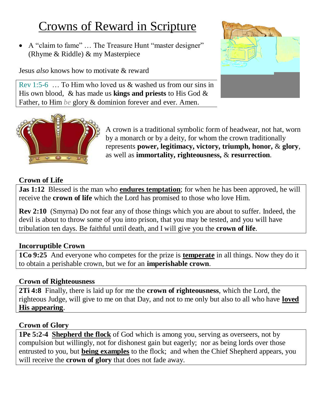# Crowns of Reward in Scripture

 A "claim to fame" … The Treasure Hunt "master designer" (Rhyme & Riddle) & my Masterpiece

His own blood, & has made us **kings and priests** to His God & Father, to Him *be* glory & dominion forever and ever. Amen.

Jesus *also* knows how to motivate & reward

Rev 1:5-6 … To Him who loved us & washed us from our sins in



A crown is a traditional symbolic form of headwear, not hat, worn by a monarch or by a deity, for whom the crown traditionally represents **power, legitimacy, victory, triumph, honor,** & **glory**, as well as **immortality, righteousness,** & **resurrection**.

#### **Crown of Life**

**Jas 1:12** Blessed is the man who **endures temptation**; for when he has been approved, he will receive the **crown of life** which the Lord has promised to those who love Him.

**Rev 2:10** (Smyrna) Do not fear any of those things which you are about to suffer. Indeed, the devil is about to throw some of you into prison, that you may be tested, and you will have tribulation ten days. Be faithful until death, and I will give you the **crown of life**.

#### **Incorruptible Crown**

**1Co 9:25** And everyone who competes for the prize is **temperate** in all things. Now they do it to obtain a perishable crown, but we for an **imperishable crown**.

#### **Crown of Righteousness**

**2Ti 4:8** Finally, there is laid up for me the **crown of righteousness**, which the Lord, the righteous Judge, will give to me on that Day, and not to me only but also to all who have **loved His appearing**.

## **Crown of Glory**

**1Pe 5:2-4 Shepherd the flock** of God which is among you, serving as overseers, not by compulsion but willingly, not for dishonest gain but eagerly; nor as being lords over those entrusted to you, but **being examples** to the flock; and when the Chief Shepherd appears, you will receive the **crown of glory** that does not fade away.